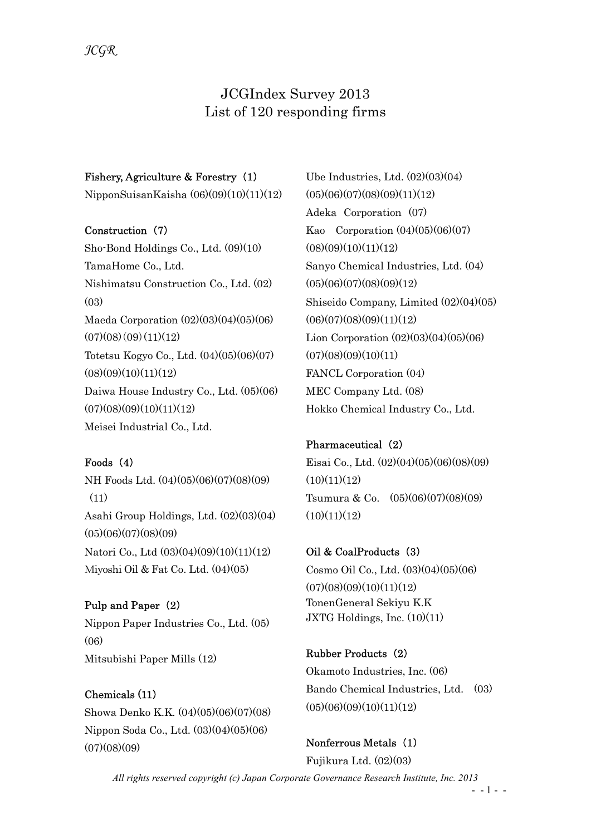# JCGIndex Survey 2013 List of 120 responding firms

#### Fishery, Agriculture & Forestry (1)

NipponSuisanKaisha (06)(09)(10)(11)(12)

#### Construction (7)

Sho-Bond Holdings Co., Ltd. (09)(10) TamaHome Co., Ltd. Nishimatsu Construction Co., Ltd. (02)  $(0.3)$ Maeda Corporation (02)(03)(04)(05)(06)  $(07)(08)(09)(11)(12)$ Totetsu Kogyo Co., Ltd. (04)(05)(06)(07)  $(08)(09)(10)(11)(12)$ Daiwa House Industry Co., Ltd. (05)(06)  $(07)(08)(09)(10)(11)(12)$ Meisei Industrial Co., Ltd.

## Foods (4)

NH Foods Ltd. (04)(05)(06)(07)(08)(09) (11) Asahi Group Holdings, Ltd. (02)(03)(04)  $(05)(06)(07)(08)(09)$ Natori Co., Ltd (03)(04)(09)(10)(11)(12) Miyoshi Oil & Fat Co. Ltd. (04)(05)

Pulp and Paper (2) Nippon Paper Industries Co., Ltd. (05) (06) Mitsubishi Paper Mills (12)

Chemicals (11) Showa Denko K.K. (04)(05)(06)(07)(08) Nippon Soda Co., Ltd. (03)(04)(05)(06)  $(07)(08)(09)$ 

Ube Industries, Ltd. (02)(03)(04)  $(05)(06)(07)(08)(09)(11)(12)$ Adeka Corporation (07) Kao Corporation  $(04)(05)(06)(07)$  $(08)(09)(10)(11)(12)$ Sanyo Chemical Industries, Ltd. (04)  $(05)(06)(07)(08)(09)(12)$ Shiseido Company, Limited (02)(04)(05)  $(06)(07)(08)(09)(11)(12)$ Lion Corporation (02)(03)(04)(05)(06)  $(07)(08)(09)(10)(11)$ FANCL Corporation (04) MEC Company Ltd. (08) Hokko Chemical Industry Co., Ltd.

# Pharmaceutical (2)

Eisai Co., Ltd. (02)(04)(05)(06)(08)(09)  $(10)(11)(12)$ Tsumura & Co. (05)(06)(07)(08)(09)  $(10)(11)(12)$ 

Oil & CoalProducts (3) Cosmo Oil Co., Ltd. (03)(04)(05)(06)  $(07)(08)(09)(10)(11)(12)$ TonenGeneral Sekiyu K.K JXTG Holdings, Inc. (10)(11)

Rubber Products (2) Okamoto Industries, Inc. (06) Bando Chemical Industries, Ltd. (03)  $(05)(06)(09)(10)(11)(12)$ 

Nonferrous Metals (1) Fujikura Ltd. (02)(03)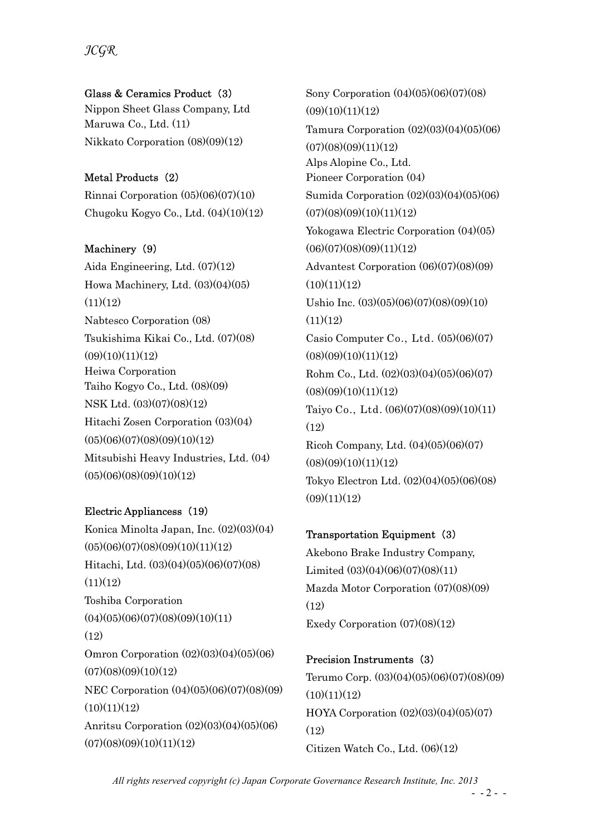JCGR

#### Glass & Ceramics Product (3)

Nippon Sheet Glass Company, Ltd Maruwa Co., Ltd. (11) Nikkato Corporation (08)(09)(12)

## Metal Products (2)

Rinnai Corporation (05)(06)(07)(10) Chugoku Kogyo Co., Ltd. (04)(10)(12)

## Machinery (9)

Aida Engineering, Ltd. (07)(12) Howa Machinery, Ltd. (03)(04)(05)  $(11)(12)$ Nabtesco Corporation (08) Tsukishima Kikai Co., Ltd. (07)(08)  $(09)(10)(11)(12)$ Heiwa Corporation Taiho Kogyo Co., Ltd. (08)(09) NSK Ltd. (03)(07)(08)(12) Hitachi Zosen Corporation (03)(04)  $(05)(06)(07)(08)(09)(10)(12)$ Mitsubishi Heavy Industries, Ltd. (04)  $(05)(06)(08)(09)(10)(12)$ 

## Electric Appliancess (19)

Konica Minolta Japan, Inc. (02)(03)(04)  $(05)(06)(07)(08)(09)(10)(11)(12)$ Hitachi, Ltd. (03)(04)(05)(06)(07)(08)  $(11)(12)$ Toshiba Corporation  $(04)(05)(06)(07)(08)(09)(10)(11)$  $(12)$ Omron Corporation (02)(03)(04)(05)(06)  $(07)(08)(09)(10)(12)$ NEC Corporation (04)(05)(06)(07)(08)(09)  $(10)(11)(12)$ Anritsu Corporation (02)(03)(04)(05)(06)  $(07)(08)(09)(10)(11)(12)$ 

Sony Corporation (04)(05)(06)(07)(08)  $(09)(10)(11)(12)$ Tamura Corporation (02)(03)(04)(05)(06)  $(07)(08)(09)(11)(12)$ Alps Alopine Co., Ltd. Pioneer Corporation (04) Sumida Corporation (02)(03)(04)(05)(06)  $(07)(08)(09)(10)(11)(12)$ Yokogawa Electric Corporation (04)(05)  $(06)(07)(08)(09)(11)(12)$ Advantest Corporation (06)(07)(08)(09)  $(10)(11)(12)$ Ushio Inc. (03)(05)(06)(07)(08)(09)(10)  $(11)(12)$ Casio Computer Co., Ltd. (05)(06)(07)  $(08)(09)(10)(11)(12)$ Rohm Co., Ltd. (02)(03)(04)(05)(06)(07)  $(08)(09)(10)(11)(12)$ Taiyo Co., Ltd. (06)(07)(08)(09)(10)(11) (12) Ricoh Company, Ltd. (04)(05)(06)(07)  $(08)(09)(10)(11)(12)$ Tokyo Electron Ltd. (02)(04)(05)(06)(08)  $(09)(11)(12)$ 

## Transportation Equipment (3)

Akebono Brake Industry Company, Limited (03)(04)(06)(07)(08)(11) Mazda Motor Corporation (07)(08)(09) (12) Exedy Corporation (07)(08)(12)

## Precision Instruments (3)

Terumo Corp. (03)(04)(05)(06)(07)(08)(09)  $(10)(11)(12)$ HOYA Corporation (02)(03)(04)(05)(07) (12) Citizen Watch Co., Ltd. (06)(12)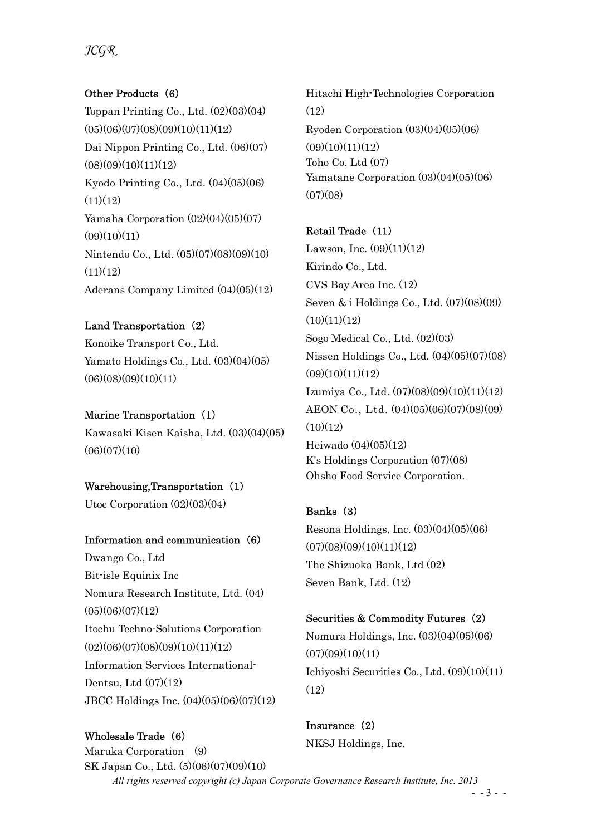## JCGR

## Other Products (6)

Toppan Printing Co., Ltd. (02)(03)(04)  $(05)(06)(07)(08)(09)(10)(11)(12)$ Dai Nippon Printing Co., Ltd. (06)(07)  $(08)(09)(10)(11)(12)$ Kyodo Printing Co., Ltd. (04)(05)(06)  $(11)(12)$ Yamaha Corporation  $(02)(04)(05)(07)$  $(09)(10)(11)$ Nintendo Co., Ltd. (05)(07)(08)(09)(10)  $(11)(12)$ Aderans Company Limited (04)(05)(12)

#### Land Transportation (2)

Konoike Transport Co., Ltd. Yamato Holdings Co., Ltd. (03)(04)(05)  $(06)(08)(09)(10)(11)$ 

#### Marine Transportation (1)

Kawasaki Kisen Kaisha, Ltd. (03)(04)(05)  $(06)(07)(10)$ 

#### Warehousing,Transportation (1)

Utoc Corporation (02)(03)(04)

#### Information and communication (6)

Dwango Co., Ltd Bit-isle Equinix Inc Nomura Research Institute, Ltd. (04)  $(05)(06)(07)(12)$ Itochu Techno-Solutions Corporation  $(02)(06)(07)(08)(09)(10)(11)(12)$ Information Services International-Dentsu, Ltd (07)(12) JBCC Holdings Inc. (04)(05)(06)(07)(12)

All rights reserved copyright (c) Japan Corporate Governance Research Institute, Inc. 2013 Wholesale Trade (6) Maruka Corporation (9) SK Japan Co., Ltd. (5)(06)(07)(09)(10) Insurance (2) NKSJ Holdings, Inc.

Hitachi High-Technologies Corporation (12) Ryoden Corporation (03)(04)(05)(06)  $(09)(10)(11)(12)$ Toho Co. Ltd (07) Yamatane Corporation (03)(04)(05)(06)  $(07)(08)$ 

# Retail Trade (11) Lawson, Inc.  $(09)(11)(12)$ Kirindo Co., Ltd. CVS Bay Area Inc. (12) Seven & i Holdings Co., Ltd. (07)(08)(09)  $(10)(11)(12)$ Sogo Medical Co., Ltd. (02)(03) Nissen Holdings Co., Ltd. (04)(05)(07)(08)  $(09)(10)(11)(12)$ Izumiya Co., Ltd. (07)(08)(09)(10)(11)(12) AEON Co., Ltd. (04)(05)(06)(07)(08)(09)  $(10)(12)$ Heiwado (04)(05)(12) K's Holdings Corporation (07)(08) Ohsho Food Service Corporation.

## Banks (3)

Resona Holdings, Inc. (03)(04)(05)(06)  $(07)(08)(09)(10)(11)(12)$ The Shizuoka Bank, Ltd (02) Seven Bank, Ltd. (12)

#### Securities & Commodity Futures (2)

Nomura Holdings, Inc. (03)(04)(05)(06)  $(07)(09)(10)(11)$ Ichiyoshi Securities Co., Ltd. (09)(10)(11)  $(12)$ 

 $- - 3 - -$